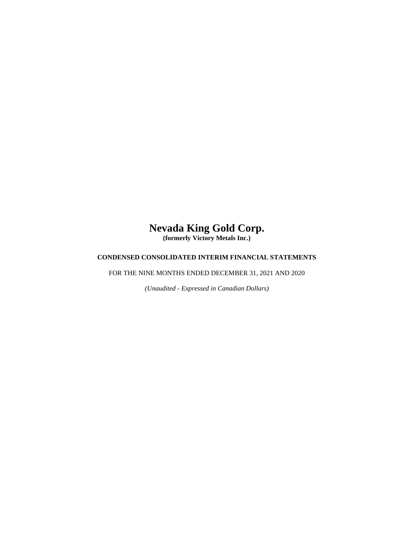# **Nevada King Gold Corp.**

**(formerly Victory Metals Inc.)**

## **CONDENSED CONSOLIDATED INTERIM FINANCIAL STATEMENTS**

FOR THE NINE MONTHS ENDED DECEMBER 31, 2021 AND 2020

*(Unaudited - Expressed in Canadian Dollars)*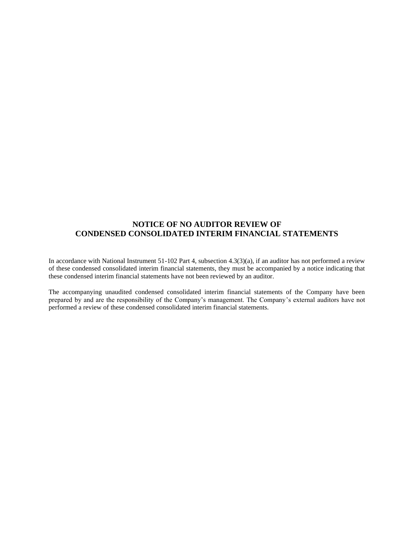## **NOTICE OF NO AUDITOR REVIEW OF CONDENSED CONSOLIDATED INTERIM FINANCIAL STATEMENTS**

In accordance with National Instrument 51-102 Part 4, subsection 4.3(3)(a), if an auditor has not performed a review of these condensed consolidated interim financial statements, they must be accompanied by a notice indicating that these condensed interim financial statements have not been reviewed by an auditor.

The accompanying unaudited condensed consolidated interim financial statements of the Company have been prepared by and are the responsibility of the Company's management. The Company's external auditors have not performed a review of these condensed consolidated interim financial statements.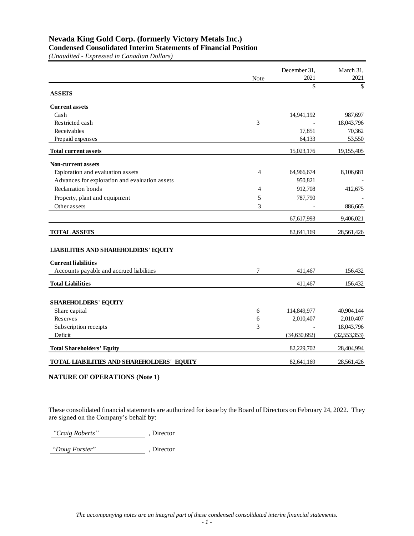**Condensed Consolidated Interim Statements of Financial Position**

*(Unaudited - Expressed in Canadian Dollars)*

|                                                | Note | December 31,<br>2021 | March 31,<br>2021 |
|------------------------------------------------|------|----------------------|-------------------|
| <b>ASSETS</b>                                  |      | \$                   | \$                |
| <b>Current assets</b>                          |      |                      |                   |
| Cash                                           |      | 14,941,192           | 987,697           |
| Restricted cash                                | 3    |                      | 18,043,796        |
| Receivables                                    |      | 17,851               | 70,362            |
| Prepaid expenses                               |      | 64,133               | 53,550            |
| <b>Total current assets</b>                    |      | 15,023,176           | 19,155,405        |
| <b>Non-current assets</b>                      |      |                      |                   |
| Exploration and evaluation assets              | 4    | 64,966,674           | 8,106,681         |
| Advances for exploration and evaluation assets |      | 950,821              |                   |
| <b>Reclamation</b> bonds                       | 4    | 912,708              | 412,675           |
| Property, plant and equipment                  | 5    | 787,790              |                   |
| Other assets                                   | 3    |                      | 886,665           |
|                                                |      | 67,617,993           | 9,406,021         |
| <b>TOTAL ASSETS</b>                            |      | 82,641,169           | 28,561,426        |
| <b>LIABILITIES AND SHAREHOLDERS' EQUITY</b>    |      |                      |                   |
| <b>Current liabilities</b>                     |      |                      |                   |
| Accounts payable and accrued liabilities       | 7    | 411,467              | 156,432           |
| <b>Total Liabilities</b>                       |      | 411,467              | 156,432           |
| <b>SHAREHOLDERS' EQUITY</b>                    |      |                      |                   |
| Share capital                                  | 6    | 114,849,977          | 40,904,144        |
| Reserves                                       | 6    | 2,010,407            | 2,010,407         |
| Subscription receipts                          | 3    |                      | 18,043,796        |
| Deficit                                        |      | (34, 630, 682)       | (32, 553, 353)    |
| <b>Total Shareholders' Equity</b>              |      | 82,229,702           | 28,404,994        |
| TOTAL LIABILITIES AND SHAREHOLDERS' EQUITY     |      | 82,641,169           | 28,561,426        |

## **NATURE OF OPERATIONS (Note 1)**

These consolidated financial statements are authorized for issue by the Board of Directors on February 24, 2022. They are signed on the Company's behalf by:

*"Craig Roberts"* , Director

"*Doug Forster*" , Director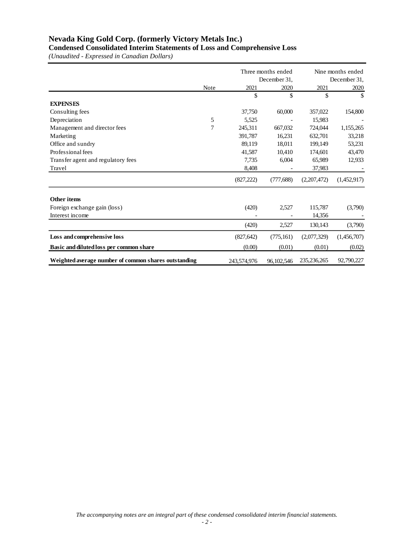**Condensed Consolidated Interim Statements of Loss and Comprehensive Loss**

*(Unaudited - Expressed in Canadian Dollars)*

|                                                      |             |             | Three months ended | Nine months ended |              |  |
|------------------------------------------------------|-------------|-------------|--------------------|-------------------|--------------|--|
|                                                      |             |             | December 31,       |                   | December 31, |  |
|                                                      | <b>Note</b> | 2021        | 2020               | 2021              | 2020         |  |
|                                                      |             | \$          | \$                 | \$                | S            |  |
| <b>EXPENSES</b>                                      |             |             |                    |                   |              |  |
| Consulting fees                                      |             | 37,750      | 60,000             | 357,022           | 154,800      |  |
| Depreciation                                         | 5           | 5,525       |                    | 15.983            |              |  |
| Management and director fees                         | 7           | 245,311     | 667,032            | 724,044           | 1,155,265    |  |
| Marketing                                            |             | 391,787     | 16,231             | 632,701           | 33,218       |  |
| Office and sundry                                    |             | 89,119      | 18,011             | 199,149           | 53,231       |  |
| Professional fees                                    |             | 41,587      | 10,410             | 174,601           | 43,470       |  |
| Transfer agent and regulatory fees                   |             | 7,735       | 6,004              | 65,989            | 12,933       |  |
| Travel                                               |             | 8,408       |                    | 37,983            |              |  |
|                                                      |             | (827, 222)  | (777, 688)         | (2,207,472)       | (1,452,917)  |  |
| Other items                                          |             |             |                    |                   |              |  |
| Foreign exchange gain (loss)                         |             | (420)       | 2,527              | 115,787           | (3,790)      |  |
| Interest income                                      |             |             |                    | 14,356            |              |  |
|                                                      |             | (420)       | 2,527              | 130,143           | (3,790)      |  |
| Loss and comprehensive loss                          |             | (827, 642)  | (775, 161)         | (2,077,329)       | (1,456,707)  |  |
| Basic and diluted loss per common share              |             | (0.00)      | (0.01)             | (0.01)            | (0.02)       |  |
| Weighted average number of common shares outstanding |             | 243,574,976 | 96, 102, 546       | 235, 236, 265     | 92,790,227   |  |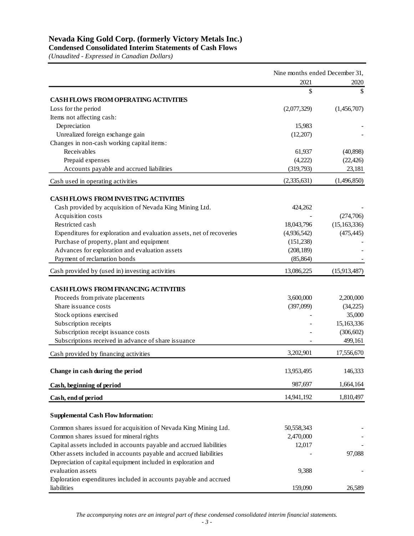**Condensed Consolidated Interim Statements of Cash Flows**

*(Unaudited - Expressed in Canadian Dollars)*

|                                                                       | Nine months ended December 31, |                |  |
|-----------------------------------------------------------------------|--------------------------------|----------------|--|
|                                                                       | 2021                           | 2020           |  |
|                                                                       | \$                             | \$             |  |
| <b>CASH FLOWS FROM OPERATING ACTIVITIES</b>                           |                                |                |  |
| Loss for the period                                                   | (2,077,329)                    | (1,456,707)    |  |
| Items not affecting cash:                                             |                                |                |  |
| Depreciation                                                          | 15,983                         |                |  |
| Unrealized foreign exchange gain                                      | (12,207)                       |                |  |
| Changes in non-cash working capital items:                            |                                |                |  |
| Receivables                                                           | 61,937                         | (40,898)       |  |
| Prepaid expenses                                                      | (4,222)                        | (22, 426)      |  |
| Accounts payable and accrued liabilities                              | (319,793)                      | 23,181         |  |
| Cash used in operating activities                                     | (2,335,631)                    | (1,496,850)    |  |
| <b>CASH FLOWS FROM INVESTING ACTIVITIES</b>                           |                                |                |  |
| Cash provided by acquisition of Nevada King Mining Ltd.               | 424,262                        |                |  |
| Acquisition costs                                                     |                                | (274,706)      |  |
| Restricted cash                                                       | 18,043,796                     | (15, 163, 336) |  |
| Expenditures for exploration and evaluation assets, net of recoveries | (4,936,542)                    | (475, 445)     |  |
| Purchase of property, plant and equipment                             | (151, 238)                     |                |  |
| Advances for exploration and evaluation assets                        | (208, 189)                     |                |  |
| Payment of reclamation bonds                                          | (85, 864)                      |                |  |
| Cash provided by (used in) investing activities                       | 13,086,225                     | (15,913,487)   |  |
|                                                                       |                                |                |  |
| <b>CASH FLOWS FROM FINANCING ACTIVITIES</b>                           |                                |                |  |
| Proceeds from private placements                                      | 3,600,000                      | 2,200,000      |  |
| Share is suance costs                                                 | (397,099)                      | (34,225)       |  |
| Stock options exercised                                               |                                | 35,000         |  |
| Subscription receipts                                                 |                                | 15,163,336     |  |
| Subscription receipt issuance costs                                   |                                | (306, 602)     |  |
| Subscriptions received in advance of share issuance                   |                                | 499,161        |  |
| Cash provided by financing activities                                 | 3,202,901                      | 17,556,670     |  |
|                                                                       |                                |                |  |
| Change in cash during the period                                      | 13,953,495                     | 146,333        |  |
| Cash, beginning of period                                             | 987,697                        | 1,664,164      |  |
| Cash, end of period                                                   | 14,941,192                     | 1,810,497      |  |
| <b>Supplemental Cash Flow Information:</b>                            |                                |                |  |
|                                                                       |                                |                |  |
| Common shares issued for acquisition of Nevada King Mining Ltd.       | 50,558,343                     |                |  |
| Common shares issued for mineral rights                               | 2,470,000                      |                |  |
| Capital assets included in accounts payable and accrued liabilities   | 12,017                         |                |  |
| Other assets included in accounts payable and accrued liabilities     |                                | 97,088         |  |
| Depreciation of capital equipment included in exploration and         |                                |                |  |
| evaluation assets                                                     | 9,388                          |                |  |
| Exploration expenditures included in accounts payable and accrued     |                                |                |  |
| liabilities                                                           | 159,090                        | 26,589         |  |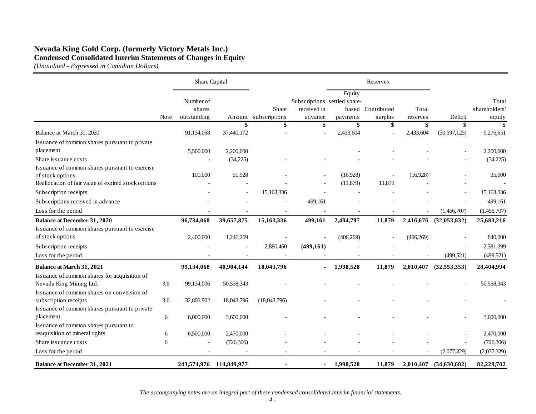## **Nevada King Gold Corp. (formerly Victory Metals Inc.) Condensed Consolidated Interim Statements of Changes in Equity**

*(Unaudited - Expressed in Canadian Dollars)*

|                                                        |      | Share Capital       |              |                     |                                             |                 | Reserves      |                |                        |                       |
|--------------------------------------------------------|------|---------------------|--------------|---------------------|---------------------------------------------|-----------------|---------------|----------------|------------------------|-----------------------|
|                                                        |      | Number of<br>shares |              | Share               | Subscriptions settled share-<br>received in | Equity<br>based | Contributed   | Total          |                        | Total<br>shareholders |
|                                                        | Note | outstanding         | Amount<br>\$ | subscriptions<br>\$ | advance<br>\$                               | payments<br>\$  | surplus<br>\$ | reserves<br>\$ | Deficit<br>\$          | equity<br>\$          |
| Balance at March 31, 2020                              |      | 91,134,068          | 37,440,172   |                     |                                             | 2,433,604       |               | 2,433,604      | (30,597,125)           | 9,276,651             |
| Issuance of common shares pursuant to private          |      |                     |              |                     |                                             |                 |               |                |                        |                       |
| placement                                              |      | 5,500,000           | 2,200,000    |                     |                                             |                 |               |                |                        | 2,200,000             |
| Share is suance costs                                  |      |                     | (34,225)     |                     |                                             |                 |               |                |                        | (34,225)              |
| Issuance of common shares pursuant to exercise         |      |                     |              |                     |                                             |                 |               |                |                        |                       |
| of stock options                                       |      | 100,000             | 51,928       |                     |                                             | (16,928)        |               | (16,928)       |                        | 35,000                |
| Reallocation of fair value of expired stock options    |      |                     |              |                     |                                             | (11, 879)       | 11,879        |                |                        |                       |
| Subscription receipts                                  |      |                     |              | 15,163,336          |                                             |                 |               |                |                        | 15,163,336            |
| Subscriptions received in advance                      |      |                     |              |                     | 499,161                                     |                 |               |                |                        | 499,161               |
| Loss for the period                                    |      |                     |              |                     |                                             |                 |               |                | (1,456,707)            | (1,456,707)           |
| <b>Balance at December 31, 2020</b>                    |      | 96,734,068          | 39,657,875   | 15,163,336          | 499,161                                     | 2,404,797       | 11,879        |                | 2,416,676 (32,053,832) | 25,683,216            |
| Issuance of common shares pursuant to exercise         |      |                     |              |                     |                                             |                 |               |                |                        |                       |
| of stock options                                       |      | 2,400,000           | 1,246,269    |                     |                                             | (406, 269)      |               | (406, 269)     |                        | 840,000               |
| Subscription receipts                                  |      |                     |              | 2,880,460           | (499,161)                                   |                 |               |                |                        | 2,381,299             |
| Loss for the period                                    |      |                     |              |                     |                                             |                 |               |                | (499, 521)             | (499, 521)            |
| <b>Balance at March 31, 2021</b>                       |      | 99,134,068          | 40,904,144   | 18,043,796          |                                             | 1,998,528       | 11,879        | 2,010,407      | (32,553,353)           | 28,404,994            |
| Issuance of common shares for acquisition of           |      |                     |              |                     |                                             |                 |               |                |                        |                       |
| Nevada King Mining Ltd.                                | 3,6  | 99,134,006          | 50,558,343   |                     |                                             |                 |               |                |                        | 50,558,343            |
| Issuance of common shares on conversion of             |      |                     |              |                     |                                             |                 |               |                |                        |                       |
| subscription receipts                                  | 3,6  | 32,806,902          | 18,043,796   | (18,043,796)        |                                             |                 |               |                |                        |                       |
| Issuance of common shares pursuant to private          |      |                     |              |                     |                                             |                 |               |                |                        |                       |
| placement                                              | 6    | 6,000,000           | 3,600,000    |                     |                                             |                 |               |                |                        | 3,600,000             |
| Issuance of common shares pursuant to                  |      |                     |              |                     |                                             |                 |               |                |                        |                       |
| reaquisition of mineral rights<br>Share issuance costs | 6    | 6,500,000           | 2,470,000    |                     |                                             |                 |               |                |                        | 2,470,000             |
|                                                        | 6    |                     | (726, 306)   |                     |                                             |                 |               |                |                        | (726, 306)            |
| Loss for the period                                    |      |                     |              |                     |                                             |                 |               |                | (2,077,329)            | (2,077,329)           |
| <b>Balance at December 31, 2021</b>                    |      | 243,574,976         | 114,849,977  |                     | $\blacksquare$                              | 1,998,528       | 11,879        | 2,010,407      | (34,630,682)           | 82,229,702            |

*The accompanying notes are an integral part of these condensed consolidated interim financial statements.*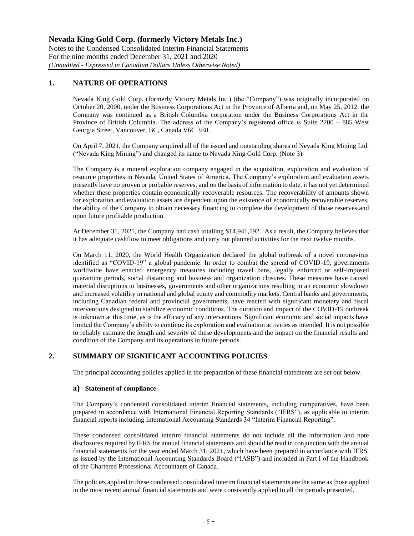## **1. NATURE OF OPERATIONS**

Nevada King Gold Corp. (formerly Victory Metals Inc.) (the "Company") was originally incorporated on October 20, 2000, under the Business Corporations Act in the Province of Alberta and, on May 25, 2012, the Company was continued as a British Columbia corporation under the Business Corporations Act in the Province of British Columbia. The address of the Company's registered office is Suite 2200 – 885 West Georgia Street, Vancouver, BC, Canada V6C 3E8.

On April 7, 2021, the Company acquired all of the issued and outstanding shares of Nevada King Mining Ltd. ("Nevada King Mining") and changed its name to Nevada King Gold Corp. (Note 3).

The Company is a mineral exploration company engaged in the acquisition, exploration and evaluation of resource properties in Nevada, United States of America. The Company's exploration and evaluation assets presently have no proven or probable reserves, and on the basis of information to date, it has not yet determined whether these properties contain economically recoverable resources. The recoverability of amounts shown for exploration and evaluation assets are dependent upon the existence of economically recoverable reserves, the ability of the Company to obtain necessary financing to complete the development of those reserves and upon future profitable production.

At December 31, 2021, the Company had cash totalling \$14,941,192. As a result, the Company believes that it has adequate cashflow to meet obligations and carry out planned activities for the next twelve months.

On March 11, 2020, the World Health Organization declared the global outbreak of a novel coronavirus identified as "COVID-19" a global pandemic. In order to combat the spread of COVID-19, governments worldwide have enacted emergency measures including travel bans, legally enforced or self-imposed quarantine periods, social distancing and business and organization closures. These measures have caused material disruptions to businesses, governments and other organizations resulting in an economic slowdown and increased volatility in national and global equity and commodity markets. Central banks and governments, including Canadian federal and provincial governments, have reacted with significant monetary and fiscal interventions designed to stabilize economic conditions. The duration and impact of the COVID-19 outbreak is unknown at this time, as is the efficacy of any interventions. Significant economic and social impacts have limited the Company's ability to continue its exploration and evaluation activities as intended. It is not possible to reliably estimate the length and severity of these developments and the impact on the financial results and condition of the Company and its operations in future periods.

## **2. SUMMARY OF SIGNIFICANT ACCOUNTING POLICIES**

The principal accounting policies applied in the preparation of these financial statements are set out below.

#### **a) Statement of compliance**

The Company's condensed consolidated interim financial statements, including comparatives, have been prepared in accordance with International Financial Reporting Standards ("IFRS"), as applicable to interim financial reports including International Accounting Standards 34 "Interim Financial Reporting".

These condensed consolidated interim financial statements do not include all the information and note disclosures required by IFRS for annual financial statements and should be read in conjunction with the annual financial statements for the year ended March 31, 2021, which have been prepared in accordance with IFRS, as issued by the International Accounting Standards Board ("IASB") and included in Part I of the Handbook of the Chartered Professional Accountants of Canada.

The policies applied in these condensed consolidated interim financial statements are the same as those applied in the most recent annual financial statements and were consistently applied to all the periods presented.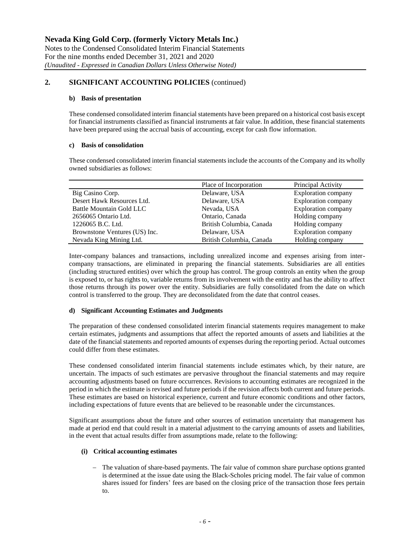## **2. SIGNIFICANT ACCOUNTING POLICIES** (continued)

#### **b) Basis of presentation**

These condensed consolidated interim financial statements have been prepared on a historical cost basis except for financial instruments classified as financial instruments at fair value. In addition, these financial statements have been prepared using the accrual basis of accounting, except for cash flow information.

## **c) Basis of consolidation**

These condensed consolidated interim financial statements include the accounts of the Company and its wholly owned subsidiaries as follows:

|                               | Place of Incorporation   | Principal Activity         |
|-------------------------------|--------------------------|----------------------------|
| Big Casino Corp.              | Delaware, USA            | <b>Exploration company</b> |
| Desert Hawk Resources Ltd.    | Delaware, USA            | <b>Exploration company</b> |
| Battle Mountain Gold LLC      | Nevada, USA              | <b>Exploration company</b> |
| 2656065 Ontario Ltd.          | Ontario, Canada          | Holding company            |
| 1226065 B.C. Ltd.             | British Columbia, Canada | Holding company            |
| Brownstone Ventures (US) Inc. | Delaware, USA            | <b>Exploration company</b> |
| Nevada King Mining Ltd.       | British Columbia, Canada | Holding company            |

Inter-company balances and transactions, including unrealized income and expenses arising from intercompany transactions, are eliminated in preparing the financial statements. Subsidiaries are all entities (including structured entities) over which the group has control. The group controls an entity when the group is exposed to, or has rights to, variable returns from its involvement with the entity and has the ability to affect those returns through its power over the entity. Subsidiaries are fully consolidated from the date on which control is transferred to the group. They are deconsolidated from the date that control ceases.

## **d) Significant Accounting Estimates and Judgments**

The preparation of these condensed consolidated interim financial statements requires management to make certain estimates, judgments and assumptions that affect the reported amounts of assets and liabilities at the date of the financial statements and reported amounts of expenses during the reporting period. Actual outcomes could differ from these estimates.

These condensed consolidated interim financial statements include estimates which, by their nature, are uncertain. The impacts of such estimates are pervasive throughout the financial statements and may require accounting adjustments based on future occurrences. Revisions to accounting estimates are recognized in the period in which the estimate is revised and future periods if the revision affects both current and future periods. These estimates are based on historical experience, current and future economic conditions and other factors, including expectations of future events that are believed to be reasonable under the circumstances.

Significant assumptions about the future and other sources of estimation uncertainty that management has made at period end that could result in a material adjustment to the carrying amounts of assets and liabilities, in the event that actual results differ from assumptions made, relate to the following:

## **(i) Critical accounting estimates**

− The valuation of share-based payments. The fair value of common share purchase options granted is determined at the issue date using the Black-Scholes pricing model. The fair value of common shares issued for finders' fees are based on the closing price of the transaction those fees pertain to.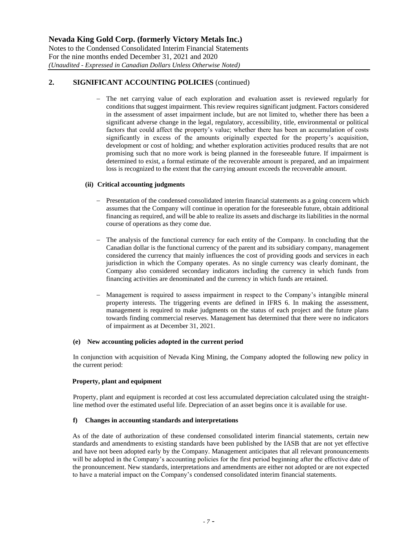## **2. SIGNIFICANT ACCOUNTING POLICIES** (continued)

The net carrying value of each exploration and evaluation asset is reviewed regularly for conditions that suggest impairment. This review requires significant judgment. Factors considered in the assessment of asset impairment include, but are not limited to, whether there has been a significant adverse change in the legal, regulatory, accessibility, title, environmental or political factors that could affect the property's value; whether there has been an accumulation of costs significantly in excess of the amounts originally expected for the property's acquisition, development or cost of holding; and whether exploration activities produced results that are not promising such that no more work is being planned in the foreseeable future. If impairment is determined to exist, a formal estimate of the recoverable amount is prepared, and an impairment loss is recognized to the extent that the carrying amount exceeds the recoverable amount.

## **(ii) Critical accounting judgments**

- − Presentation of the condensed consolidated interim financial statements as a going concern which assumes that the Company will continue in operation for the foreseeable future, obtain additional financing as required, and will be able to realize its assets and discharge its liabilities in the normal course of operations as they come due.
- − The analysis of the functional currency for each entity of the Company. In concluding that the Canadian dollar is the functional currency of the parent and its subsidiary company, management considered the currency that mainly influences the cost of providing goods and services in each jurisdiction in which the Company operates. As no single currency was clearly dominant, the Company also considered secondary indicators including the currency in which funds from financing activities are denominated and the currency in which funds are retained.
- − Management is required to assess impairment in respect to the Company's intangible mineral property interests. The triggering events are defined in IFRS 6. In making the assessment, management is required to make judgments on the status of each project and the future plans towards finding commercial reserves. Management has determined that there were no indicators of impairment as at December 31, 2021.

## **(e) New accounting policies adopted in the current period**

In conjunction with acquisition of Nevada King Mining, the Company adopted the following new policy in the current period:

## **Property, plant and equipment**

Property, plant and equipment is recorded at cost less accumulated depreciation calculated using the straightline method over the estimated useful life. Depreciation of an asset begins once it is available for use.

## **f) Changes in accounting standards and interpretations**

As of the date of authorization of these condensed consolidated interim financial statements, certain new standards and amendments to existing standards have been published by the IASB that are not yet effective and have not been adopted early by the Company. Management anticipates that all relevant pronouncements will be adopted in the Company's accounting policies for the first period beginning after the effective date of the pronouncement. New standards, interpretations and amendments are either not adopted or are not expected to have a material impact on the Company's condensed consolidated interim financial statements.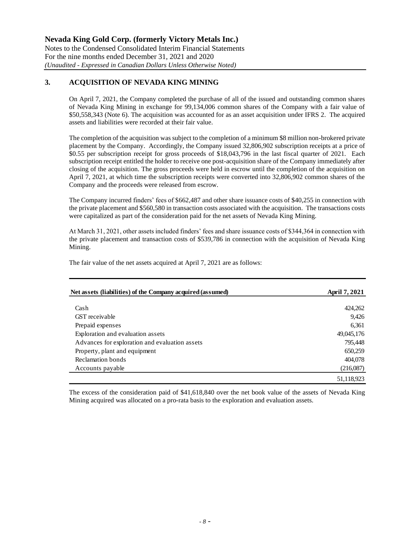## **3. ACQUISITION OF NEVADA KING MINING**

On April 7, 2021, the Company completed the purchase of all of the issued and outstanding common shares of Nevada King Mining in exchange for 99,134,006 common shares of the Company with a fair value of \$50,558,343 (Note 6). The acquisition was accounted for as an asset acquisition under IFRS 2. The acquired assets and liabilities were recorded at their fair value.

The completion of the acquisition was subject to the completion of a minimum \$8 million non-brokered private placement by the Company. Accordingly, the Company issued 32,806,902 subscription receipts at a price of \$0.55 per subscription receipt for gross proceeds of \$18,043,796 in the last fiscal quarter of 2021. Each subscription receipt entitled the holder to receive one post-acquisition share of the Company immediately after closing of the acquisition. The gross proceeds were held in escrow until the completion of the acquisition on April 7, 2021, at which time the subscription receipts were converted into 32,806,902 common shares of the Company and the proceeds were released from escrow.

The Company incurred finders' fees of \$662,487 and other share issuance costs of \$40,255 in connection with the private placement and \$560,580 in transaction costs associated with the acquisition. The transactions costs were capitalized as part of the consideration paid for the net assets of Nevada King Mining.

At March 31, 2021, other assets included finders' fees and share issuance costs of \$344,364 in connection with the private placement and transaction costs of \$539,786 in connection with the acquisition of Nevada King Mining.

The fair value of the net assets acquired at April 7, 2021 are as follows:

| Net assets (liabilities) of the Company acquired (assumed) | April 7, 2021 |
|------------------------------------------------------------|---------------|
|                                                            |               |
| Cash                                                       | 424,262       |
| <b>GST</b> receivable                                      | 9,426         |
| Prepaid expenses                                           | 6,361         |
| Exploration and evaluation assets                          | 49,045,176    |
| Advances for exploration and evaluation assets             | 795,448       |
| Property, plant and equipment                              | 650,259       |
| Reclamation bonds                                          | 404,078       |
| Accounts payable                                           | (216,087)     |
|                                                            | 51,118,923    |

The excess of the consideration paid of \$41,618,840 over the net book value of the assets of Nevada King Mining acquired was allocated on a pro-rata basis to the exploration and evaluation assets.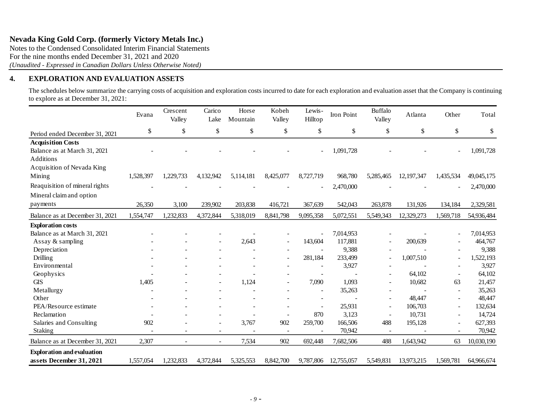Notes to the Condensed Consolidated Interim Financial Statements For the nine months ended December 31, 2021 and 2020 *(Unaudited - Expressed in Canadian Dollars Unless Otherwise Noted)*

## **4. EXPLORATION AND EVALUATION ASSETS**

The schedules below summarize the carrying costs of acquisition and exploration costs incurred to date for each exploration and evaluation asset that the Company is continuing to explore as at December 31, 2021:

|                                   | Evana     | Crescent<br>Valley | Carico<br>Lake           | Horse<br>Mountain | Kobeh<br>Valley          | Lewis-<br>Hilltop | Iron Point | <b>Buffalo</b><br>Valley | Atlanta    | Other                    | Total      |
|-----------------------------------|-----------|--------------------|--------------------------|-------------------|--------------------------|-------------------|------------|--------------------------|------------|--------------------------|------------|
| Period ended December 31, 2021    | \$        | \$                 | \$                       | \$                | \$                       | \$                | \$         | \$                       | \$         | \$                       | \$         |
| <b>Acquisition Costs</b>          |           |                    |                          |                   |                          |                   |            |                          |            |                          |            |
| Balance as at March 31, 2021      |           |                    |                          |                   |                          |                   | 1,091,728  |                          |            |                          | 1,091,728  |
| Additions                         |           |                    |                          |                   |                          |                   |            |                          |            |                          |            |
| Acquisition of Nevada King        |           |                    |                          |                   |                          |                   |            |                          |            |                          |            |
| Mining                            | 1,528,397 | 1,229,733          | 4,132,942                | 5,114,181         | 8,425,077                | 8,727,719         | 968,780    | 5,285,465                | 12,197,347 | 1,435,534                | 49,045,175 |
| Reaquisition of mineral rights    |           |                    |                          |                   |                          |                   | 2,470,000  |                          |            |                          | 2,470,000  |
| Mineral claim and option          |           |                    |                          |                   |                          |                   |            |                          |            |                          |            |
| payments                          | 26,350    | 3,100              | 239,902                  | 203,838           | 416,721                  | 367,639           | 542,043    | 263,878                  | 131,926    | 134,184                  | 2,329,581  |
| Balance as at December 31, 2021   | 1,554,747 | 1,232,833          | 4,372,844                | 5,318,019         | 8,841,798                | 9,095,358         | 5,072,551  | 5,549,343                | 12,329,273 | 1,569,718                | 54,936,484 |
| <b>Exploration costs</b>          |           |                    |                          |                   |                          |                   |            |                          |            |                          |            |
| Balance as at March 31, 2021      |           |                    |                          |                   |                          |                   | 7,014,953  |                          |            |                          | 7,014,953  |
| Assay & sampling                  |           |                    |                          | 2,643             | $\overline{\phantom{a}}$ | 143,604           | 117,881    |                          | 200,639    |                          | 464,767    |
| Depreciation                      |           |                    |                          |                   |                          |                   | 9,388      |                          |            |                          | 9,388      |
| <b>Drilling</b>                   |           |                    |                          |                   | $\overline{a}$           | 281,184           | 233,499    | $\overline{\phantom{a}}$ | 1,007,510  |                          | 1,522,193  |
| Environmental                     |           |                    |                          |                   | ۰                        |                   | 3,927      |                          |            |                          | 3,927      |
| Geophysics                        |           |                    |                          |                   |                          | $\sim$            |            | ۰                        | 64,102     | $\overline{\phantom{a}}$ | 64,102     |
| <b>GIS</b>                        | 1,405     |                    |                          | 1,124             |                          | 7,090             | 1,093      |                          | 10,682     | 63                       | 21,457     |
| Metallurgy                        |           |                    |                          |                   |                          |                   | 35,263     |                          |            |                          | 35,263     |
| Other                             |           |                    |                          |                   |                          |                   |            | ۰                        | 48,447     | $\overline{\phantom{a}}$ | 48,447     |
| PEA/Resource estimate             |           |                    |                          |                   |                          |                   | 25,931     | $\overline{\phantom{a}}$ | 106,703    | $\blacksquare$           | 132,634    |
| Reclamation                       |           |                    |                          |                   |                          | 870               | 3,123      |                          | 10,731     | ÷                        | 14,724     |
| Salaries and Consulting           | 902       |                    | $\overline{\phantom{a}}$ | 3,767             | 902                      | 259,700           | 166,506    | 488                      | 195,128    | $\overline{\phantom{0}}$ | 627,393    |
| Staking                           |           | $\blacksquare$     | $\overline{\phantom{a}}$ |                   | $\blacksquare$           |                   | 70,942     | $\overline{\phantom{a}}$ |            | $\overline{\phantom{a}}$ | 70,942     |
| Balance as at December 31, 2021   | 2,307     | $\overline{a}$     | $\blacksquare$           | 7,534             | 902                      | 692,448           | 7,682,506  | 488                      | 1,643,942  | 63                       | 10,030,190 |
| <b>Exploration and evaluation</b> |           |                    |                          |                   |                          |                   |            |                          |            |                          |            |
| assets December 31, 2021          | 1,557,054 | 1,232,833          | 4,372,844                | 5,325,553         | 8,842,700                | 9,787,806         | 12,755,057 | 5,549,831                | 13,973,215 | 1,569,781                | 64.966.674 |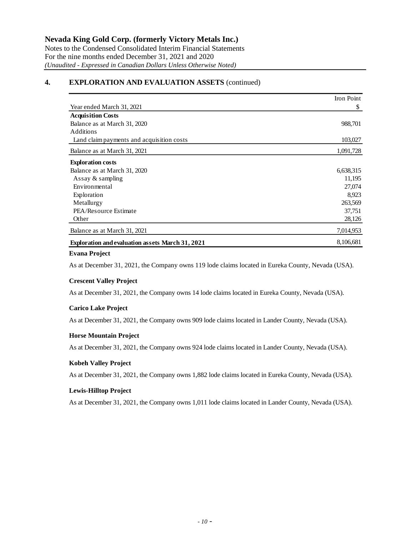## **4. EXPLORATION AND EVALUATION ASSETS** (continued)

|                                                         | Iron Point |
|---------------------------------------------------------|------------|
| Year ended March 31, 2021                               | \$         |
| <b>Acquisition Costs</b>                                |            |
| Balance as at March 31, 2020                            | 988,701    |
| <b>Additions</b>                                        |            |
| Land claim payments and acquisition costs               | 103,027    |
| Balance as at March 31, 2021                            | 1,091,728  |
| <b>Exploration costs</b>                                |            |
| Balance as at March 31, 2020                            | 6,638,315  |
| Assay $&$ sampling                                      | 11,195     |
| Environmental                                           | 27,074     |
| Exploration                                             | 8,923      |
| Metallurgy                                              | 263,569    |
| PEA/Resource Estimate                                   | 37,751     |
| Other                                                   | 28,126     |
| Balance as at March 31, 2021                            | 7,014,953  |
| <b>Exploration and evaluation assets March 31, 2021</b> | 8,106,681  |

#### **Evana Project**

As at December 31, 2021, the Company owns 119 lode claims located in Eureka County, Nevada (USA).

#### **Crescent Valley Project**

As at December 31, 2021, the Company owns 14 lode claims located in Eureka County, Nevada (USA).

#### **Carico Lake Project**

As at December 31, 2021, the Company owns 909 lode claims located in Lander County, Nevada (USA).

#### **Horse Mountain Project**

As at December 31, 2021, the Company owns 924 lode claims located in Lander County, Nevada (USA).

#### **Kobeh Valley Project**

As at December 31, 2021, the Company owns 1,882 lode claims located in Eureka County, Nevada (USA).

#### **Lewis-Hilltop Project**

As at December 31, 2021, the Company owns 1,011 lode claims located in Lander County, Nevada (USA).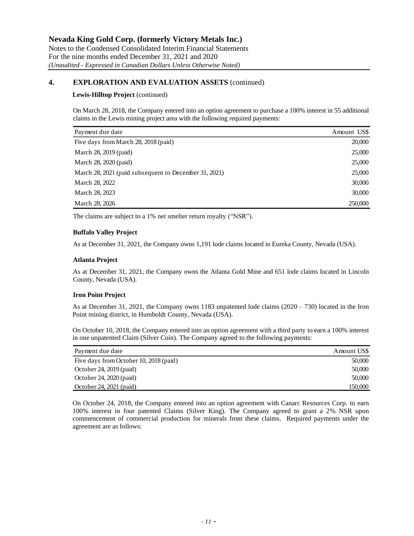## **4. EXPLORATION AND EVALUATION ASSETS** (continued)

#### **Lewis-Hilltop Project** (continued)

On March 28, 2018, the Company entered into an option agreement to purchase a 100% interest in 55 additional claims in the Lewis mining project area with the following required payments:

| Payment due date                                      | Amount US\$ |
|-------------------------------------------------------|-------------|
| Five days from March 28, 2018 (paid)                  | 20,000      |
| March 28, 2019 (paid)                                 | 25,000      |
| March 28, 2020 (paid)                                 | 25,000      |
| March 28, 2021 (paid subsequent to December 31, 2021) | 25,000      |
| March 28, 2022                                        | 30,000      |
| March 28, 2023                                        | 30,000      |
| March 28, 2026                                        | 250,000     |

The claims are subject to a 1% net smelter return royalty ("NSR").

## **Buffalo Valley Project**

As at December 31, 2021, the Company owns 1,191 lode claims located in Eureka County, Nevada (USA).

## **Atlanta Project**

As at December 31, 2021, the Company owns the Atlanta Gold Mine and 651 lode claims located in Lincoln County, Nevada (USA).

## **Iron Point Project**

As at December 31, 2021, the Company owns 1183 unpatented lode claims (2020 – 730) located in the Iron Point mining district, in Humboldt County, Nevada (USA).

On October 10, 2018, the Company entered into an option agreement with a third party to earn a 100% interest in one unpatented Claim (Silver Coin). The Company agreed to the following payments:

| Payment due date                       | Amount USS |
|----------------------------------------|------------|
| Five days from October 10, 2018 (paid) | 50,000     |
| October 24, 2019 (paid)                | 50,000     |
| October 24, 2020 (paid)                | 50,000     |
| October 24, 2021 (paid)                | 150.000    |

On October 24, 2018, the Company entered into an option agreement with Canarc Resources Corp. to earn 100% interest in four patented Claims (Silver King). The Company agreed to grant a 2% NSR upon commencement of commercial production for minerals from these claims. Required payments under the agreement are as follows: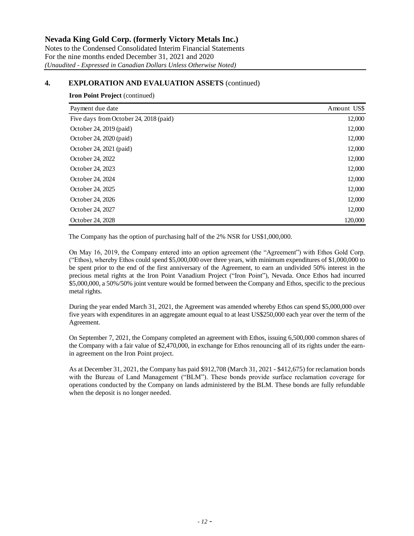## **4. EXPLORATION AND EVALUATION ASSETS** (continued)

## **Iron Point Project** (continued)

| Payment due date                       | Amount US\$ |
|----------------------------------------|-------------|
| Five days from October 24, 2018 (paid) | 12,000      |
| October 24, 2019 (paid)                | 12,000      |
| October 24, 2020 (paid)                | 12,000      |
| October 24, 2021 (paid)                | 12,000      |
| October 24, 2022                       | 12,000      |
| October 24, 2023                       | 12,000      |
| October 24, 2024                       | 12,000      |
| October 24, 2025                       | 12,000      |
| October 24, 2026                       | 12,000      |
| October 24, 2027                       | 12,000      |
| October 24, 2028                       | 120,000     |

The Company has the option of purchasing half of the 2% NSR for US\$1,000,000.

On May 16, 2019, the Company entered into an option agreement (the "Agreement") with Ethos Gold Corp. ("Ethos), whereby Ethos could spend \$5,000,000 over three years, with minimum expenditures of \$1,000,000 to be spent prior to the end of the first anniversary of the Agreement, to earn an undivided 50% interest in the precious metal rights at the Iron Point Vanadium Project ("Iron Point"), Nevada. Once Ethos had incurred \$5,000,000, a 50%/50% joint venture would be formed between the Company and Ethos, specific to the precious metal rights.

During the year ended March 31, 2021, the Agreement was amended whereby Ethos can spend \$5,000,000 over five years with expenditures in an aggregate amount equal to at least US\$250,000 each year over the term of the Agreement.

On September 7, 2021, the Company completed an agreement with Ethos, issuing 6,500,000 common shares of the Company with a fair value of \$2,470,000, in exchange for Ethos renouncing all of its rights under the earnin agreement on the Iron Point project.

As at December 31, 2021, the Company has paid \$912,708 (March 31, 2021 - \$412,675) for reclamation bonds with the Bureau of Land Management ("BLM"). These bonds provide surface reclamation coverage for operations conducted by the Company on lands administered by the BLM. These bonds are fully refundable when the deposit is no longer needed.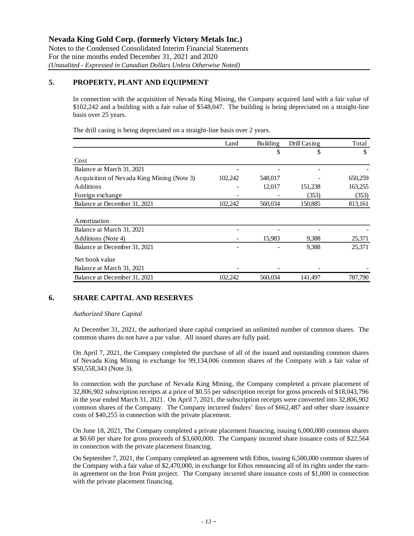## **5. PROPERTY, PLANT AND EQUIPMENT**

In connection with the acquisition of Nevada King Mining, the Company acquired land with a fair value of \$102,242 and a building with a fair value of \$548,047. The building is being depreciated on a straight-line basis over 25 years.

The drill casing is being depreciated on a straight-line basis over 2 years.

|                                            | Land    | <b>Building</b> | Drill Casing | Total   |
|--------------------------------------------|---------|-----------------|--------------|---------|
|                                            |         | \$              | \$           |         |
| Cost                                       |         |                 |              |         |
| Balance at March 31, 2021                  |         |                 |              |         |
| Acquisition of Nevada King Mining (Note 3) | 102,242 | 548,017         |              | 650,259 |
| Additions                                  |         | 12,017          | 151,238      | 163,255 |
| Foreign exchange                           |         |                 | (353)        | (353)   |
| Balance at December 31, 2021               | 102,242 | 560,034         | 150,885      | 813,161 |
|                                            |         |                 |              |         |
| Amortization                               |         |                 |              |         |
| Balance at March 31, 2021                  |         |                 |              |         |
| Additions (Note 4)                         |         | 15,983          | 9,388        | 25,371  |
| Balance at December 31, 2021               |         |                 | 9,388        | 25,371  |
| Net book value                             |         |                 |              |         |
| Balance at March 31, 2021                  |         |                 |              |         |
| Balance at December 31, 2021               | 102,242 | 560,034         | 141,497      | 787,790 |

## **6. SHARE CAPITAL AND RESERVES**

## *Authorized Share Capital*

At December 31, 2021, the authorized share capital comprised an unlimited number of common shares. The common shares do not have a par value. All issued shares are fully paid.

On April 7, 2021, the Company completed the purchase of all of the issued and outstanding common shares of Nevada King Mining in exchange for 99,134,006 common shares of the Company with a fair value of \$50,558,343 (Note 3).

In connection with the purchase of Nevada King Mining, the Company completed a private placement of 32,806,902 subscription receipts at a price of \$0.55 per subscription receipt for gross proceeds of \$18,043,796 in the year ended March 31, 2021. On April 7, 2021, the subscription receipts were converted into 32,806,902 common shares of the Company. The Company incurred finders' fees of \$662,487 and other share issuance costs of \$40,255 in connection with the private placement.

On June 18, 2021, The Company completed a private placement financing, issuing 6,000,000 common shares at \$0.60 per share for gross proceeds of \$3,600,000. The Company incurred share issuance costs of \$22,564 in connection with the private placement financing.

On September 7, 2021, the Company completed an agreement with Ethos, issuing 6,500,000 common shares of the Company with a fair value of \$2,470,000, in exchange for Ethos renouncing all of its rights under the earnin agreement on the Iron Point project. The Company incurred share issuance costs of \$1,000 in connection with the private placement financing.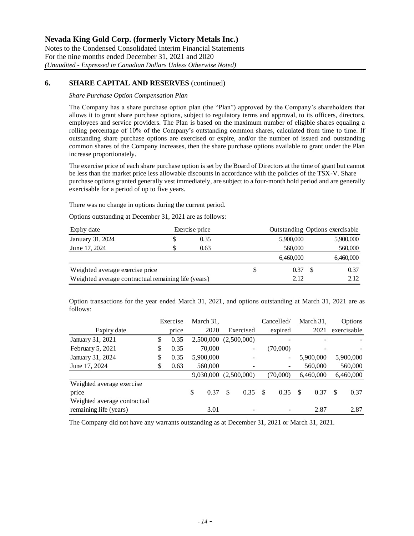## **6. SHARE CAPITAL AND RESERVES** (continued)

*Share Purchase Option Compensation Plan*

The Company has a share purchase option plan (the "Plan") approved by the Company's shareholders that allows it to grant share purchase options, subject to regulatory terms and approval, to its officers, directors, employees and service providers. The Plan is based on the maximum number of eligible shares equaling a rolling percentage of 10% of the Company's outstanding common shares, calculated from time to time. If outstanding share purchase options are exercised or expire, and/or the number of issued and outstanding common shares of the Company increases, then the share purchase options available to grant under the Plan increase proportionately.

The exercise price of each share purchase option is set by the Board of Directors at the time of grant but cannot be less than the market price less allowable discounts in accordance with the policies of the TSX-V. Share purchase options granted generally vest immediately, are subject to a four-month hold period and are generally exercisable for a period of up to five years.

There was no change in options during the current period.

Options outstanding at December 31, 2021 are as follows:

| Expiry date                                         |  | Exercise price<br>Outstanding Options exercisable |  |           |  |           |
|-----------------------------------------------------|--|---------------------------------------------------|--|-----------|--|-----------|
| January 31, 2024                                    |  | 0.35                                              |  | 5,900,000 |  | 5,900,000 |
| June 17, 2024                                       |  | 0.63                                              |  | 560,000   |  | 560,000   |
|                                                     |  |                                                   |  | 6,460,000 |  | 6,460,000 |
| Weighted average exercise price                     |  |                                                   |  | 0.37      |  | 0.37      |
| Weighted average contractual remaining life (years) |  |                                                   |  | 2.12      |  | 2.12.     |

Option transactions for the year ended March 31, 2021, and options outstanding at March 31, 2021 are as follows:

|                              |    | Exercise | March 31,  |             | Cancelled/ | March 31,  | Options     |
|------------------------------|----|----------|------------|-------------|------------|------------|-------------|
| Expiry date                  |    | price    | 2020       | Exercised   | expired    | 2021       | exercisable |
| January 31, 2021             | \$ | 0.35     | 2,500,000  | (2,500,000) |            |            |             |
| February 5, 2021             | \$ | 0.35     | 70,000     |             | (70,000)   |            |             |
| January 31, 2024             | S  | 0.35     | 5,900,000  |             | -          | 5,900,000  | 5,900,000   |
| June 17, 2024                | \$ | 0.63     | 560,000    |             |            | 560,000    | 560,000     |
|                              |    |          | 9,030,000  | (2,500,000) | (70,000)   | 6,460,000  | 6,460,000   |
| Weighted average exercise    |    |          |            |             |            |            |             |
| price                        |    |          | \$<br>0.37 | \$<br>0.35  | \$<br>0.35 | \$<br>0.37 | \$<br>0.37  |
| Weighted average contractual |    |          |            |             |            |            |             |
| remaining life (years)       |    |          | 3.01       |             |            | 2.87       | 2.87        |

The Company did not have any warrants outstanding as at December 31, 2021 or March 31, 2021.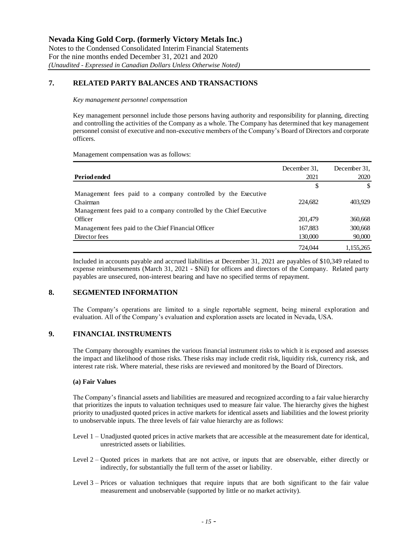## **7. RELATED PARTY BALANCES AND TRANSACTIONS**

#### *Key management personnel compensation*

Key management personnel include those persons having authority and responsibility for planning, directing and controlling the activities of the Company as a whole. The Company has determined that key management personnel consist of executive and non-executive members of the Company's Board of Directors and corporate officers.

Management compensation was as follows:

| Period ended                                                        | December 31.<br>2021 | December 31,<br>2020 |
|---------------------------------------------------------------------|----------------------|----------------------|
|                                                                     | \$                   |                      |
| Management fees paid to a company controlled by the Executive       |                      |                      |
| Chairman                                                            | 224,682              | 403,929              |
| Management fees paid to a company controlled by the Chief Executive |                      |                      |
| <b>Officer</b>                                                      | 201,479              | 360,668              |
| Management fees paid to the Chief Financial Officer                 | 167,883              | 300,668              |
| Director fees                                                       | 130,000              | 90,000               |
|                                                                     | 724,044              | 1.155.265            |

Included in accounts payable and accrued liabilities at December 31, 2021 are payables of \$10,349 related to expense reimbursements (March 31, 2021 - \$Nil) for officers and directors of the Company. Related party payables are unsecured, non-interest bearing and have no specified terms of repayment.

## **8. SEGMENTED INFORMATION**

The Company's operations are limited to a single reportable segment, being mineral exploration and evaluation. All of the Company's evaluation and exploration assets are located in Nevada, USA.

## **9. FINANCIAL INSTRUMENTS**

The Company thoroughly examines the various financial instrument risks to which it is exposed and assesses the impact and likelihood of those risks. These risks may include credit risk, liquidity risk, currency risk, and interest rate risk. Where material, these risks are reviewed and monitored by the Board of Directors.

#### **(a) Fair Values**

The Company's financial assets and liabilities are measured and recognized according to a fair value hierarchy that prioritizes the inputs to valuation techniques used to measure fair value. The hierarchy gives the highest priority to unadjusted quoted prices in active markets for identical assets and liabilities and the lowest priority to unobservable inputs. The three levels of fair value hierarchy are as follows:

- Level 1 Unadjusted quoted prices in active markets that are accessible at the measurement date for identical, unrestricted assets or liabilities.
- Level 2 Quoted prices in markets that are not active, or inputs that are observable, either directly or indirectly, for substantially the full term of the asset or liability.
- Level 3 Prices or valuation techniques that require inputs that are both significant to the fair value measurement and unobservable (supported by little or no market activity).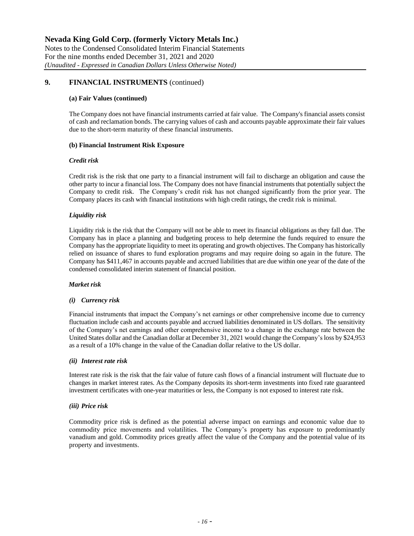## **9. FINANCIAL INSTRUMENTS** (continued)

#### **(a) Fair Values (continued)**

The Company does not have financial instruments carried at fair value. The Company's financial assets consist of cash and reclamation bonds. The carrying values of cash and accounts payable approximate their fair values due to the short-term maturity of these financial instruments.

#### **(b) Financial Instrument Risk Exposure**

#### *Credit risk*

Credit risk is the risk that one party to a financial instrument will fail to discharge an obligation and cause the other party to incur a financial loss. The Company does not have financial instruments that potentially subject the Company to credit risk. The Company's credit risk has not changed significantly from the prior year. The Company places its cash with financial institutions with high credit ratings, the credit risk is minimal.

## *Liquidity risk*

Liquidity risk is the risk that the Company will not be able to meet its financial obligations as they fall due. The Company has in place a planning and budgeting process to help determine the funds required to ensure the Company has the appropriate liquidity to meet its operating and growth objectives. The Company has historically relied on issuance of shares to fund exploration programs and may require doing so again in the future. The Company has \$411,467 in accounts payable and accrued liabilities that are due within one year of the date of the condensed consolidated interim statement of financial position.

#### *Market risk*

#### *(i) Currency risk*

Financial instruments that impact the Company's net earnings or other comprehensive income due to currency fluctuation include cash and accounts payable and accrued liabilities denominated in US dollars. The sensitivity of the Company's net earnings and other comprehensive income to a change in the exchange rate between the United States dollar and the Canadian dollar at December 31, 2021 would change the Company's loss by \$24,953 as a result of a 10% change in the value of the Canadian dollar relative to the US dollar.

#### *(ii) Interest rate risk*

Interest rate risk is the risk that the fair value of future cash flows of a financial instrument will fluctuate due to changes in market interest rates. As the Company deposits its short-term investments into fixed rate guaranteed investment certificates with one-year maturities or less, the Company is not exposed to interest rate risk.

## *(iii) Price risk*

Commodity price risk is defined as the potential adverse impact on earnings and economic value due to commodity price movements and volatilities. The Company's property has exposure to predominantly vanadium and gold. Commodity prices greatly affect the value of the Company and the potential value of its property and investments.